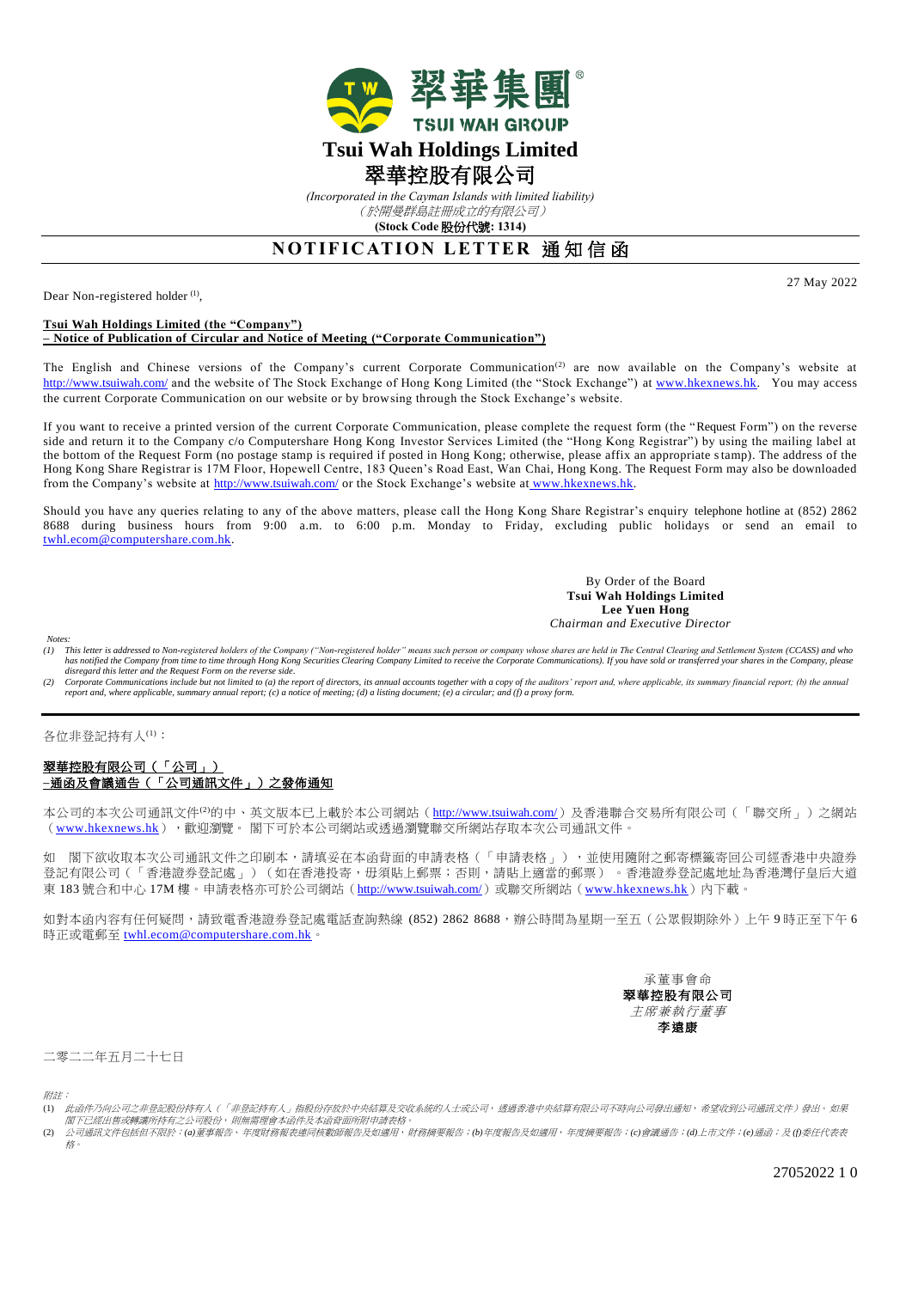

*(Incorporated in the Cayman Islands with limited liability)* (於開曼群島註冊成立的有限公司)

**(Stock Code** 股份代號**: 1314)**

## **NOTIFICATION LETTER 通知信函**

Dear Non-registered holder<sup>(1)</sup>,

**Tsui Wah Holdings Limited (the "Company")**

## **– Notice of Publication of Circular and Notice of Meeting ("Corporate Communication")**

The English and Chinese versions of the Company's current Corporate Communication<sup>(2)</sup> are now available on the Company's website at <http://www.tsuiwah.com/> and the website of The Stock Exchange of Hong Kong Limited (the "Stock Exchange") at [www.hkexnews.hk.](file:///C:/Documents%20and%20Settings/tsangf/tsangf/Local%20Settings/Temporary%20Internet%20Files/Content.Outlook/6T8O1404/www.hkexnews.hk) You may access the current Corporate Communication on our website or by browsing through the Stock Exchange's website.

If you want to receive a printed version of the current Corporate Communication, please complete the request form (the "Request Form") on the reverse side and return it to the Company c/o Computershare Hong Kong Investor Services Limited (the "Hong Kong Registrar") by using the mailing label at the bottom of the Request Form (no postage stamp is required if posted in Hong Kong; otherwise, please affix an appropriate stamp). The address of the Hong Kong Share Registrar is 17M Floor, Hopewell Centre, 183 Queen's Road East, Wan Chai, Hong Kong. The Request Form may also be downloaded from the Company's website at<http://www.tsuiwah.com/> or the Stock Exchange's website at [www.hkexnews.hk.](http://www.hkexnews.hk/)

Should you have any queries relating to any of the above matters, please call the Hong Kong Share Registrar's enquiry telephone hotline at (852) 2862 8688 during business hours from 9:00 a.m. to 6:00 p.m. Monday to Friday, excluding public holidays or send an email to [twhl.ecom@computershare.com.hk.](mailto:twhl.ecom@computershare.com.hk)

> By Order of the Board **Tsui Wah Holdings Limited Lee Yuen Hong**  *Chairman and Executive Director*

- Notes:<br>(1) This letter is addressed to Non-registered holders of the Company ("Non-registered holder" means such person or company whose shares are held in The Central Clearing and Settlement System (CCASS) and who has notified the Company from time to time through Hong Kong Securities Clearing Company Limited to receive the Corporate Communications). If you have sold or transferred your shares in the Company, please *disregard this letter and the Request Form on the reverse side.*
- (2) Corporate Communications include but not limited to (a) the report of directors, its annual accounts together with a copy of the auditors' report and, where applicable, its summary financial report; (b) the annual<br>repo

各位非登記持有人(1):

## 翠華控股有限公司(「公司」) **–**通函及會議通告(「公司通訊文件」)之發佈通知

本公司的本次公司通訊文件<sup>(2)</sup>的中、英文版本已上載於本公司網站 (<http://www.tsuiwah.com/>)及香港聯合交易所有限公司 (「聯交所」)之網站 ([www.hkexnews.hk](http://www.hkexnews.hk/)), 歡迎瀏覽。 閣下可於本公司網站或透過瀏覽聯交所網站存取本次公司通訊文件。

如 閣下欲收取本次公司通訊文件之印刷本,請填妥在本函背面的申請表格(「申請表格」),並使用隨附之郵寄標籤寄回公司經香港中央證券 登記有限公司(「香港證券登記處」)(如在香港投寄,毋須貼上郵票;否則,請貼上適當的郵票)。香港證券登記處地址為香港灣仔皇后大道 東 183 號合和中心 17M 樓。申請表格亦可於公司網站 (<http://www.tsuiwah.com/>)或聯交所網站 ([www.hkexnews.hk](http://www.hkexnews.hk/)) 內下載。

如對本函內容有任何疑問,請致電香港證券登記處電話查詢熱線 (852) 2862 8688,辦公時間為星期一至五 (公眾假期除外)上午 9 時正至下午 6 時正或電郵至 [twhl.ecom@computershare.com.hk](mailto:twhl.ecom@computershare.com.hk)。

> 承董事會命 翠華控股有限公司 主席兼執行董事 李遠康

二零二二年五月二十七日

附註:

- (1) 此函件乃向公司之非登記股份持有人(「非登記持有人」指股份存放於中央結算及交收系統的人士或公司,透過香港中央結算有限公司不時向公司發出通知,希望收到公司通訊文件)發出。如果 閣下已經出售或轉讓所持有之公司股份,則無需理會本函件及本函背面所附申請表格。
- (2) 公司通訊文件包括但不限於:*(a)*董事報告、年度財務報表連同核數師報告及如適用,財務摘要報告;*(b)*年度報告及如適用,年度摘要報告;*(c)*會議通告;*(d)*上市文件;*(e)*通函;及 *(f)*委任代表表 格。

27052022 1 0

27 May 2022